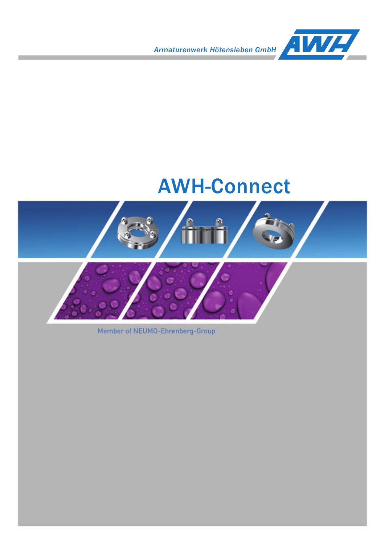*Armaturenwerk Hötensleben GmbH*



# AWH-Connect



Member of NEUMO-Ehrenberg-Group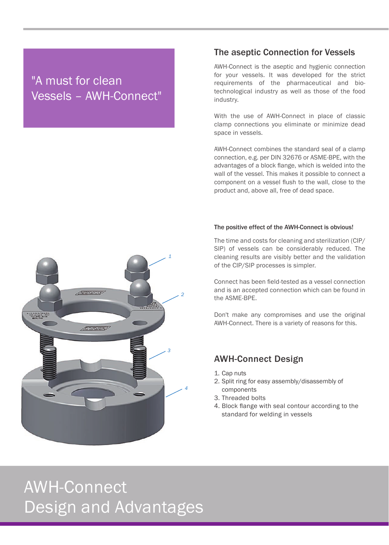## "A must for clean Vessels – AWH-Connect"

#### The aseptic Connection for Vessels

AWH-Connect is the aseptic and hygienic connection for your vessels. It was developed for the strict requirements of the pharmaceutical and biotechnological industry as well as those of the food industry.

With the use of AWH-Connect in place of classic clamp connections you eliminate or minimize dead space in vessels.

AWH-Connect combines the standard seal of a clamp connection, e.g. per DIN 32676 or ASME-BPE, with the advantages of a block flange, which is welded into the wall of the vessel. This makes it possible to connect a component on a vessel flush to the wall, close to the product and, above all, free of dead space.

#### The positive effect of the AWH-Connect is obvious!

The time and costs for cleaning and sterilization (CIP/ SIP) of vessels can be considerably reduced. The cleaning results are visibly better and the validation of the CIP/SIP processes is simpler.

Connect has been field-tested as a vessel connection and is an accepted connection which can be found in the ASME-BPE.

Don't make any compromises and use the original AWH-Connect. There is a variety of reasons for this.

#### AWH-Connect Design

- 1. Cap nuts
- 2. Split ring for easy assembly/disassembly of components
- 3. Threaded bolts
- 4. Block flange with seal contour according to the standard for welding in vessels



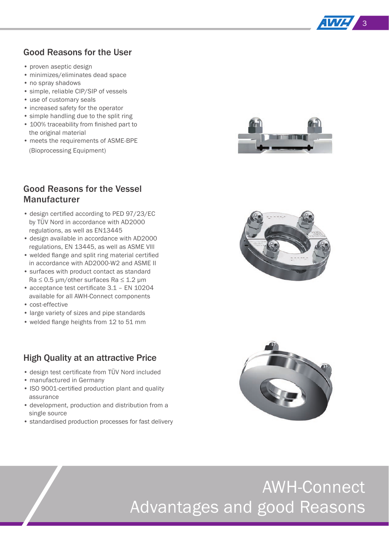

#### Good Reasons for the User

- proven aseptic design
- minimizes/eliminates dead space
- no spray shadows
- simple, reliable CIP/SIP of vessels
- use of customary seals
- increased safety for the operator
- simple handling due to the split ring
- 100% traceability from finished part to the original material
- meets the requirements of ASME-BPE (Bioprocessing Equipment)

# **TITLE**

### Good Reasons for the Vessel **Manufacturer**

- design certified according to PED 97/23/EC by TÜV Nord in accordance with AD2000 regulations, as well as EN13445
- design available in accordance with AD2000 regulations, EN 13445, as well as ASME Vlll
- welded flange and split ring material certified in accordance with AD2000-W2 and ASME II
- surfaces with product contact as standard  $Ra \leq 0.5$  μm/other surfaces Ra  $\leq 1.2$  μm
- $\bullet$  acceptance test certificate 3.1 EN 10204 available for all AWH-Connect components
- cost-effective
- large variety of sizes and pipe standards
- welded flange heights from 12 to 51 mm

#### High Quality at an attractive Price

- design test certificate from TÜV Nord included
- manufactured in Germany
- ISO 9001-certified production plant and quality assurance
- development, production and distribution from a single source
- standardised production processes for fast delivery





# AWH-Connect Advantages and good Reasons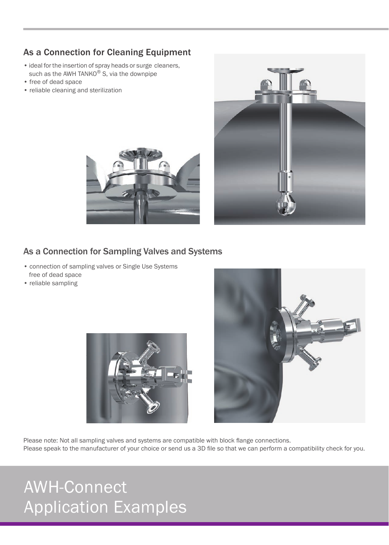## As a Connection for Cleaning Equipment

- ideal for the insertion of spray heads or surge cleaners, such as the AWH TANKO<sup>®</sup> S, via the downpipe
- free of dead space
- reliable cleaning and sterilization





#### As a Connection for Sampling Valves and Systems

- connection of sampling valves or Single Use Systems free of dead space
- reliable sampling





Please note: Not all sampling valves and systems are compatible with block flange connections. Please speak to the manufacturer of your choice or send us a 3D file so that we can perform a compatibility check for you.

# AWH-Connect Application Examples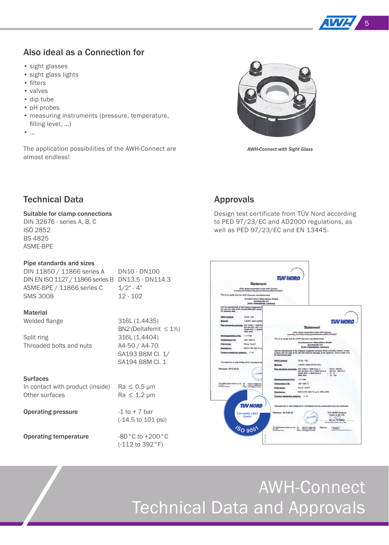

#### Also ideal as a Connection for

- sight glasses
- sight glass lights
- filters
- valves
- dip tube
- pH probes
- measuring instruments (pressure, temperature, filling level, ...)
- …

The application possibilities of the AWH-Connect are almost endless!



*AWH-Connect with Sight Glass*

#### Technical Data

#### Suitable for clamp connections

DIN 32676 - series A, B, C ISO 2852 BS 4825 ASME-BPE

#### Pipe standards and sizes

| DIN 11850 / 11866 series A                        | DN10 - DN100 |
|---------------------------------------------------|--------------|
| DIN EN ISO 1127 / 11866 series B DN13.5 - DN114.3 |              |
| ASME-BPE / 11866 series C                         | $1/2"$ - 4"  |
| <b>SMS 3008</b>                                   | $12 - 102$   |

#### **Material**

| Welded flange                                                         | 316L (1.4435)<br>BN2 (Deltaferrit $\leq 1\%$ )                            |
|-----------------------------------------------------------------------|---------------------------------------------------------------------------|
| Split ring<br>Threaded bolts and nuts                                 | 316L (1.4404)<br>A4-50 / A4-70<br>SA193 B8M Cl. 1/<br>SA194 B8M Cl. 1     |
| <b>Surfaces</b><br>In contact with product (inside)<br>Other surfaces | $Ra \leq 0.5 \mu m$<br>$Ra \leq 1.2 \mu m$                                |
| <b>Operating pressure</b>                                             | $-1$ to $+7$ bar<br>$(-14.5 \text{ to } 101 \text{ psi})$                 |
| Onovating tomonovature                                                | $\circ \circ \circ \circ \cdot \cdot \cdot \cdot \circ \circ \circ \circ$ |

**Operating temperature** -80 °C to +200 °C (-112 to 392°F)

#### Approvals

Design test certificate from TÜV Nord according to PED 97/23/EC and AD2000 regulations, as well as PED 97/23/EC and EN 13445.



# AWH-Connect Technical Data and Approvals